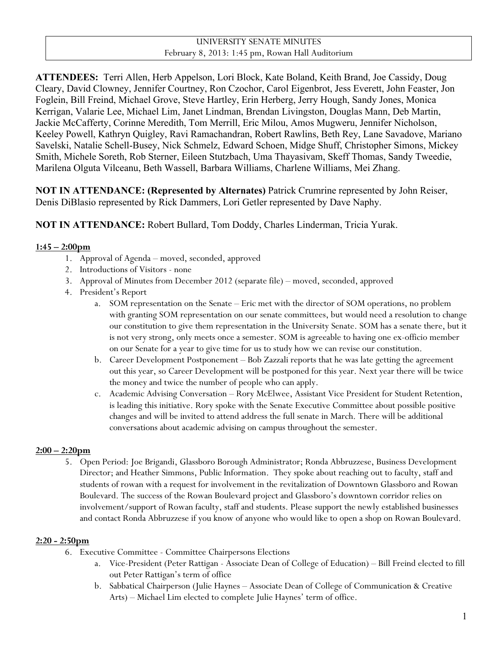**ATTENDEES:** Terri Allen, Herb Appelson, Lori Block, Kate Boland, Keith Brand, Joe Cassidy, Doug Cleary, David Clowney, Jennifer Courtney, Ron Czochor, Carol Eigenbrot, Jess Everett, John Feaster, Jon Foglein, Bill Freind, Michael Grove, Steve Hartley, Erin Herberg, Jerry Hough, Sandy Jones, Monica Kerrigan, Valarie Lee, Michael Lim, Janet Lindman, Brendan Livingston, Douglas Mann, Deb Martin, Jackie McCafferty, Corinne Meredith, Tom Merrill, Eric Milou, Amos Mugweru, Jennifer Nicholson, Keeley Powell, Kathryn Quigley, Ravi Ramachandran, Robert Rawlins, Beth Rey, Lane Savadove, Mariano Savelski, Natalie Schell-Busey, Nick Schmelz, Edward Schoen, Midge Shuff, Christopher Simons, Mickey Smith, Michele Soreth, Rob Sterner, Eileen Stutzbach, Uma Thayasivam, Skeff Thomas, Sandy Tweedie, Marilena Olguta Vilceanu, Beth Wassell, Barbara Williams, Charlene Williams, Mei Zhang.

**NOT IN ATTENDANCE: (Represented by Alternates)** Patrick Crumrine represented by John Reiser, Denis DiBlasio represented by Rick Dammers, Lori Getler represented by Dave Naphy.

**NOT IN ATTENDANCE:** Robert Bullard, Tom Doddy, Charles Linderman, Tricia Yurak.

### **1:45 – 2:00pm**

- 1. Approval of Agenda moved, seconded, approved
- 2. Introductions of Visitors none
- 3. Approval of Minutes from December 2012 (separate file) moved, seconded, approved
- 4. President's Report
	- a. SOM representation on the Senate Eric met with the director of SOM operations, no problem with granting SOM representation on our senate committees, but would need a resolution to change our constitution to give them representation in the University Senate. SOM has a senate there, but it is not very strong, only meets once a semester. SOM is agreeable to having one ex-officio member on our Senate for a year to give time for us to study how we can revise our constitution.
	- b. Career Development Postponement Bob Zazzali reports that he was late getting the agreement out this year, so Career Development will be postponed for this year. Next year there will be twice the money and twice the number of people who can apply.
	- c. Academic Advising Conversation Rory McElwee, Assistant Vice President for Student Retention, is leading this initiative. Rory spoke with the Senate Executive Committee about possible positive changes and will be invited to attend address the full senate in March. There will be additional conversations about academic advising on campus throughout the semester.

### **2:00 – 2:20pm**

5. Open Period: Joe Brigandi, Glassboro Borough Administrator; Ronda Abbruzzese, Business Development Director; and Heather Simmons, Public Information. They spoke about reaching out to faculty, staff and students of rowan with a request for involvement in the revitalization of Downtown Glassboro and Rowan Boulevard. The success of the Rowan Boulevard project and Glassboro's downtown corridor relies on involvement/support of Rowan faculty, staff and students. Please support the newly established businesses and contact Ronda Abbruzzese if you know of anyone who would like to open a shop on Rowan Boulevard.

#### **2:20 - 2:50pm**

- 6. Executive Committee Committee Chairpersons Elections
	- a. Vice-President (Peter Rattigan Associate Dean of College of Education) Bill Freind elected to fill out Peter Rattigan's term of office
	- b. Sabbatical Chairperson (Julie Haynes Associate Dean of College of Communication & Creative Arts) – Michael Lim elected to complete Julie Haynes' term of office.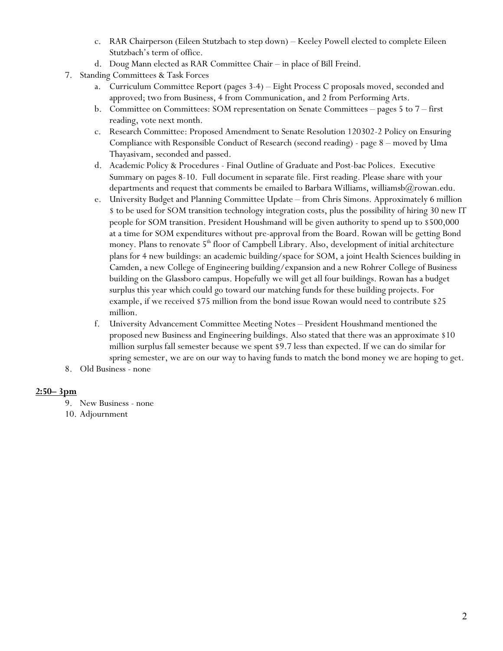- c. RAR Chairperson (Eileen Stutzbach to step down) Keeley Powell elected to complete Eileen Stutzbach's term of office.
- d. Doug Mann elected as RAR Committee Chair in place of Bill Freind.
- 7. Standing Committees & Task Forces
	- a. Curriculum Committee Report (pages 3-4) Eight Process C proposals moved, seconded and approved; two from Business, 4 from Communication, and 2 from Performing Arts.
	- b. Committee on Committees: SOM representation on Senate Committees pages 5 to 7 first reading, vote next month.
	- c. Research Committee: Proposed Amendment to Senate Resolution 120302-2 Policy on Ensuring Compliance with Responsible Conduct of Research (second reading) - page 8 – moved by Uma Thayasivam, seconded and passed.
	- d. Academic Policy & Procedures Final Outline of Graduate and Post-bac Polices. Executive Summary on pages 8-10. Full document in separate file. First reading. Please share with your departments and request that comments be emailed to Barbara Williams, williamsb $@r$ owan.edu.
	- e. University Budget and Planning Committee Update from Chris Simons. Approximately 6 million \$ to be used for SOM transition technology integration costs, plus the possibility of hiring 30 new IT people for SOM transition. President Houshmand will be given authority to spend up to \$500,000 at a time for SOM expenditures without pre-approval from the Board. Rowan will be getting Bond money. Plans to renovate  $5<sup>th</sup>$  floor of Campbell Library. Also, development of initial architecture plans for 4 new buildings: an academic building/space for SOM, a joint Health Sciences building in Camden, a new College of Engineering building/expansion and a new Rohrer College of Business building on the Glassboro campus. Hopefully we will get all four buildings. Rowan has a budget surplus this year which could go toward our matching funds for these building projects. For example, if we received \$75 million from the bond issue Rowan would need to contribute \$25 million.
	- f. University Advancement Committee Meeting Notes President Houshmand mentioned the proposed new Business and Engineering buildings. Also stated that there was an approximate \$10 million surplus fall semester because we spent \$9.7 less than expected. If we can do similar for spring semester, we are on our way to having funds to match the bond money we are hoping to get.
- 8. Old Business none

### **2:50– 3pm**

9. New Business - none

10. Adjournment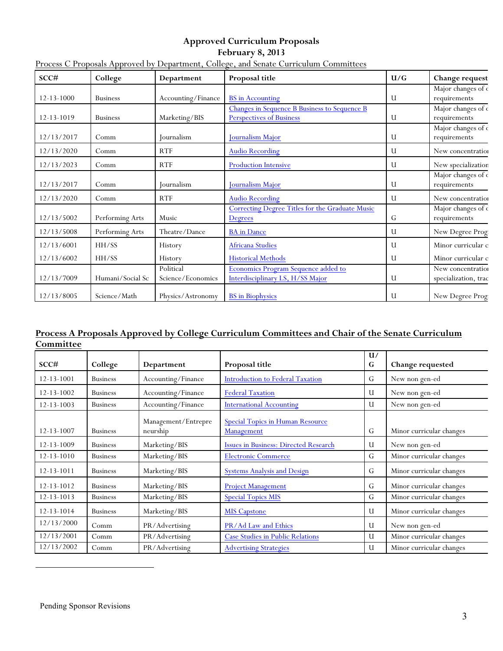# **Approved Curriculum Proposals**

#### **February 8, 2013**

| SCC#             | College          | Department                     | Proposal title                                                                  | U/G | Change request                            |
|------------------|------------------|--------------------------------|---------------------------------------------------------------------------------|-----|-------------------------------------------|
| $12 - 13 - 1000$ | <b>Business</b>  | Accounting/Finance             | <b>BS</b> in Accounting                                                         | U   | Major changes of c<br>requirements        |
| 12-13-1019       | <b>Business</b>  | Marketing/BIS                  | Changes in Sequence B Business to Sequence B<br><b>Perspectives of Business</b> | U   | Major changes of c<br>requirements        |
| 12/13/2017       | Comm             | Journalism                     | Journalism Major                                                                | U   | Major changes of c<br>requirements        |
| 12/13/2020       | Comm             | <b>RTF</b>                     | <b>Audio Recording</b>                                                          | U   | New concentration                         |
| 12/13/2023       | Comm             | <b>RTF</b>                     | <b>Production Intensive</b>                                                     | U   | New specialization                        |
| 12/13/2017       | Comm             | Journalism                     | Journalism Major                                                                | U   | Major changes of c<br>requirements        |
| 12/13/2020       | Comm             | <b>RTF</b>                     | <b>Audio Recording</b>                                                          | U   | New concentration                         |
| 12/13/5002       | Performing Arts  | Music                          | Correcting Degree Titles for the Graduate Music<br>Degrees                      | G   | Major changes of c<br>$\,$ requirements   |
| 12/13/5008       | Performing Arts  | Theatre/Dance                  | <b>BA</b> in Dance                                                              | U   | New Degree Prog                           |
| 12/13/6001       | HH/SS            | History                        | <b>Africana Studies</b>                                                         | U   | Minor curricular c                        |
| 12/13/6002       | HH/SS            | History                        | <b>Historical Methods</b>                                                       | U   | Minor curricular c                        |
| 12/13/7009       | Humani/Social Sc | Political<br>Science/Economics | Economics Program Sequence added to<br>Interdisciplinary LS, H/SS Major         | U   | New concentration<br>specialization, trac |
| 12/13/8005       | Science/Math     | Physics/Astronomy              | <b>BS</b> in Biophysics                                                         | U   | New Degree Prog                           |

# Process C Proposals Approved by Department, College, and Senate Curriculum Committees

## **Process A Proposals Approved by College Curriculum Committees and Chair of the Senate Curriculum Committee**

| SCC#             | College         | Department                      | Proposal title                                        | U/<br>G | Change requested         |
|------------------|-----------------|---------------------------------|-------------------------------------------------------|---------|--------------------------|
| $12 - 13 - 1001$ | <b>Business</b> | Accounting/Finance              | <b>Introduction to Federal Taxation</b>               | G       | New non gen-ed           |
| $12 - 13 - 1002$ | <b>Business</b> | Accounting/Finance              | <b>Federal Taxation</b>                               | U       | New non gen-ed           |
| $12 - 13 - 1003$ | <b>Business</b> | Accounting/Finance              | <b>International Accounting</b>                       | U       | New non gen-ed           |
| 12-13-1007       | <b>Business</b> | Management/Entrepre<br>neurship | <b>Special Topics in Human Resource</b><br>Management | G       | Minor curricular changes |
| 12-13-1009       | <b>Business</b> | Marketing/BIS                   | Issues in Business: Directed Research                 | U       | New non gen-ed           |
| $12 - 13 - 1010$ | <b>Business</b> | Marketing/BIS                   | <b>Electronic Commerce</b>                            | G       | Minor curricular changes |
| 12-13-1011       | <b>Business</b> | Marketing/BIS                   | <b>Systems Analysis and Design</b>                    | G       | Minor curricular changes |
| $12 - 13 - 1012$ | <b>Business</b> | Marketing/BIS                   | <b>Project Management</b>                             | G       | Minor curricular changes |
| $12 - 13 - 1013$ | <b>Business</b> | Marketing/BIS                   | <b>Special Topics MIS</b>                             | G       | Minor curricular changes |
| $12 - 13 - 1014$ | <b>Business</b> | Marketing/BIS                   | <b>MIS Capstone</b>                                   | U       | Minor curricular changes |
| 12/13/2000       | Comm            | PR/Advertising                  | PR/Ad Law and Ethics                                  | U       | New non gen-ed           |
| 12/13/2001       | Comm            | PR/Advertising                  | <b>Case Studies in Public Relations</b>               | U       | Minor curricular changes |
| 12/13/2002       | Comm            | PR/Advertising                  | <b>Advertising Strategies</b>                         | U       | Minor curricular changes |

 $\overline{a}$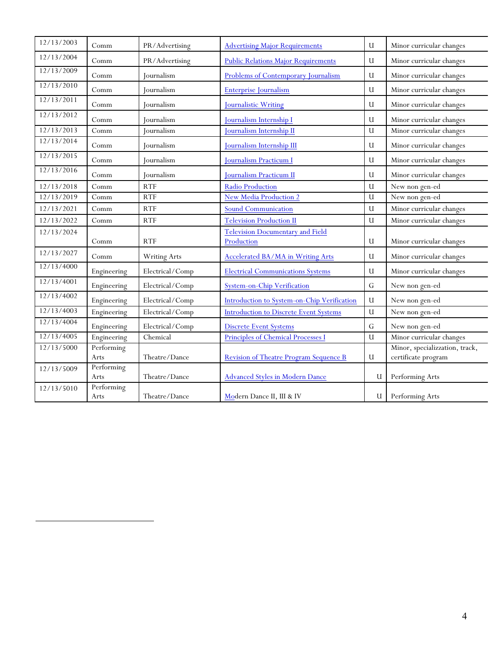| 12/13/2003 | Comm                  | PR/Advertising      | <b>Advertising Major Requirements</b>         | U            | Minor curricular changes                              |
|------------|-----------------------|---------------------|-----------------------------------------------|--------------|-------------------------------------------------------|
| 12/13/2004 | Comm                  | PR/Advertising      | <b>Public Relations Major Requirements</b>    | $\mathbf{U}$ | Minor curricular changes                              |
| 12/13/2009 | Comm                  | Journalism          | Problems of Contemporary Journalism           | $\mathbf U$  | Minor curricular changes                              |
| 12/13/2010 | $\operatorname{Comm}$ | Journalism          | <b>Enterprise Journalism</b>                  | $\mathbf{U}$ | Minor curricular changes                              |
| 12/13/2011 | Comm                  | <b>Journalism</b>   | <b>Journalistic Writing</b>                   | $\mathbf{U}$ | Minor curricular changes                              |
| 12/13/2012 | Comm                  | <b>Journalism</b>   | Journalism Internship I                       | $\mathbf U$  | Minor curricular changes                              |
| 12/13/2013 | Comm                  | Journalism          | <b>Journalism Internship II</b>               | $\mathbf{U}$ | Minor curricular changes                              |
| 12/13/2014 | Comm                  | Journalism          | Journalism Internship III                     | U            | Minor curricular changes                              |
| 12/13/2015 | Comm                  | Journalism          | <b>Journalism Practicum I</b>                 | U            | Minor curricular changes                              |
| 12/13/2016 | Comm                  | <b>Journalism</b>   | Journalism Practicum II                       | U            | Minor curricular changes                              |
| 12/13/2018 | Comm                  | <b>RTF</b>          | Radio Production                              | U            | New non gen-ed                                        |
| 12/13/2019 | Comm                  | <b>RTF</b>          | <b>New Media Production 2</b>                 | $\mathbf{U}$ | New non gen-ed                                        |
| 12/13/2021 | Comm                  | <b>RTF</b>          | <b>Sound Communication</b>                    | $\mathbf{U}$ | Minor curricular changes                              |
| 12/13/2022 | Comm                  | <b>RTF</b>          | <b>Television Production II</b>               | $\mathbf{U}$ | Minor curricular changes                              |
| 12/13/2024 |                       |                     | <b>Television Documentary and Field</b>       |              |                                                       |
|            | Comm                  | <b>RTF</b>          | Production                                    | U            | Minor curricular changes                              |
| 12/13/2027 | Comm                  | <b>Writing Arts</b> | Accelerated BA/MA in Writing Arts             | $\mathbf{U}$ | Minor curricular changes                              |
| 12/13/4000 | Engineering           | Electrical/Comp     | <b>Electrical Communications Systems</b>      | $\mathbf{U}$ | Minor curricular changes                              |
| 12/13/4001 | Engineering           | Electrical/Comp     | <b>System-on-Chip Verification</b>            | G            | New non gen-ed                                        |
| 12/13/4002 | Engineering           | Electrical/Comp     | Introduction to System-on-Chip Verification   | $\mathbf{U}$ | New non gen-ed                                        |
| 12/13/4003 | Engineering           | Electrical/Comp     | <b>Introduction to Discrete Event Systems</b> | $\mathbf{U}$ | New non gen-ed                                        |
| 12/13/4004 | Engineering           | Electrical/Comp     | <b>Discrete Event Systems</b>                 | $\mathsf G$  | New non gen-ed                                        |
| 12/13/4005 | Engineering           | Chemical            | Principles of Chemical Processes I            | U            | Minor curricular changes                              |
| 12/13/5000 | Performing<br>Arts    | Theatre/Dance       | <b>Revision of Theatre Program Sequence B</b> | $\mathbf U$  | Minor, specializzation, track,<br>certificate program |
| 12/13/5009 | Performing            |                     |                                               |              |                                                       |
|            | Arts                  | Theatre/Dance       | <b>Advanced Styles in Modern Dance</b>        | U            | Performing Arts                                       |
| 12/13/5010 | Performing<br>Arts    | Theatre/Dance       | Modern Dance II, III & IV                     | U            | Performing Arts                                       |

 $\overline{a}$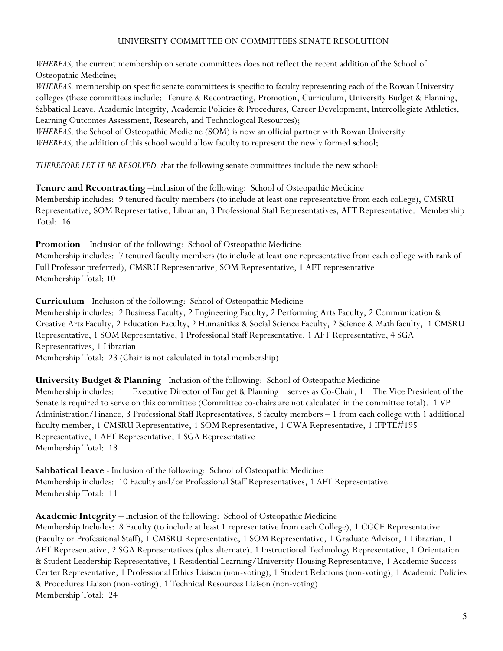### UNIVERSITY COMMITTEE ON COMMITTEES SENATE RESOLUTION

*WHEREAS*, the current membership on senate committees does not reflect the recent addition of the School of Osteopathic Medicine;

*WHEREAS,* membership on specific senate committees is specific to faculty representing each of the Rowan University colleges (these committees include: Tenure & Recontracting, Promotion, Curriculum, University Budget & Planning, Sabbatical Leave, Academic Integrity, Academic Policies & Procedures, Career Development, Intercollegiate Athletics, Learning Outcomes Assessment, Research, and Technological Resources);

*WHEREAS,* the School of Osteopathic Medicine (SOM) is now an official partner with Rowan University *WHEREAS*, the addition of this school would allow faculty to represent the newly formed school;

*THEREFORE LET IT BE RESOLVED, t*hat the following senate committees include the new school:

**Tenure and Recontracting** –Inclusion of the following: School of Osteopathic Medicine Membership includes: 9 tenured faculty members (to include at least one representative from each college), CMSRU Representative, SOM Representative, Librarian, 3 Professional Staff Representatives, AFT Representative. Membership Total: 16

**Promotion** – Inclusion of the following: School of Osteopathic Medicine

Membership includes: 7 tenured faculty members (to include at least one representative from each college with rank of Full Professor preferred), CMSRU Representative, SOM Representative, 1 AFT representative Membership Total: 10

**Curriculum** - Inclusion of the following: School of Osteopathic Medicine

Membership includes: 2 Business Faculty, 2 Engineering Faculty, 2 Performing Arts Faculty, 2 Communication & Creative Arts Faculty, 2 Education Faculty, 2 Humanities & Social Science Faculty, 2 Science & Math faculty, 1 CMSRU Representative, 1 SOM Representative, 1 Professional Staff Representative, 1 AFT Representative, 4 SGA Representatives, 1 Librarian

Membership Total: 23 (Chair is not calculated in total membership)

**University Budget & Planning** - Inclusion of the following: School of Osteopathic Medicine Membership includes: 1 – Executive Director of Budget & Planning – serves as Co-Chair, 1 – The Vice President of the Senate is required to serve on this committee (Committee co-chairs are not calculated in the committee total). 1 VP Administration/Finance, 3 Professional Staff Representatives, 8 faculty members – 1 from each college with 1 additional faculty member, 1 CMSRU Representative, 1 SOM Representative, 1 CWA Representative, 1 IFPTE#195 Representative, 1 AFT Representative, 1 SGA Representative Membership Total: 18

**Sabbatical Leave** - Inclusion of the following: School of Osteopathic Medicine Membership includes: 10 Faculty and/or Professional Staff Representatives, 1 AFT Representative Membership Total: 11

**Academic Integrity** – Inclusion of the following: School of Osteopathic Medicine

Membership Includes: 8 Faculty (to include at least 1 representative from each College), 1 CGCE Representative (Faculty or Professional Staff), 1 CMSRU Representative, 1 SOM Representative, 1 Graduate Advisor, 1 Librarian, 1 AFT Representative, 2 SGA Representatives (plus alternate), 1 Instructional Technology Representative, 1 Orientation & Student Leadership Representative, 1 Residential Learning/University Housing Representative, 1 Academic Success Center Representative, 1 Professional Ethics Liaison (non-voting), 1 Student Relations (non-voting), 1 Academic Policies & Procedures Liaison (non-voting), 1 Technical Resources Liaison (non-voting) Membership Total: 24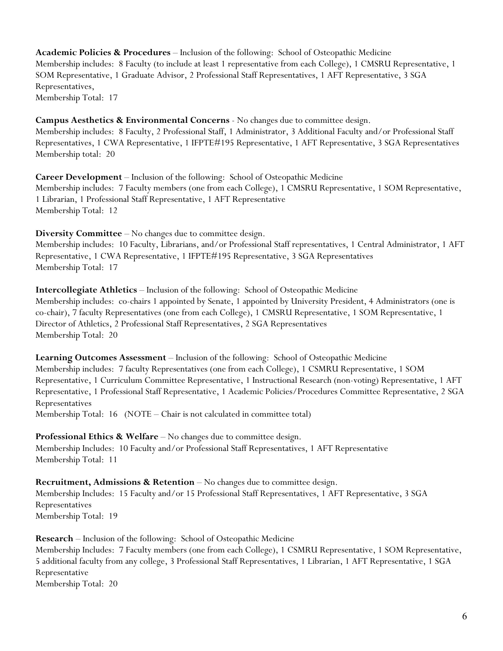**Academic Policies & Procedures** – Inclusion of the following: School of Osteopathic Medicine Membership includes: 8 Faculty (to include at least 1 representative from each College), 1 CMSRU Representative, 1 SOM Representative, 1 Graduate Advisor, 2 Professional Staff Representatives, 1 AFT Representative, 3 SGA Representatives, Membership Total: 17

**Campus Aesthetics & Environmental Concerns** - No changes due to committee design. Membership includes: 8 Faculty, 2 Professional Staff, 1 Administrator, 3 Additional Faculty and/or Professional Staff Representatives, 1 CWA Representative, 1 IFPTE#195 Representative, 1 AFT Representative, 3 SGA Representatives Membership total: 20

**Career Development** – Inclusion of the following: School of Osteopathic Medicine Membership includes: 7 Faculty members (one from each College), 1 CMSRU Representative, 1 SOM Representative, 1 Librarian, 1 Professional Staff Representative, 1 AFT Representative Membership Total: 12

**Diversity Committee** – No changes due to committee design. Membership includes: 10 Faculty, Librarians, and/or Professional Staff representatives, 1 Central Administrator, 1 AFT

Representative, 1 CWA Representative, 1 IFPTE#195 Representative, 3 SGA Representatives Membership Total: 17

**Intercollegiate Athletics** – Inclusion of the following: School of Osteopathic Medicine Membership includes: co-chairs 1 appointed by Senate, 1 appointed by University President, 4 Administrators (one is co-chair), 7 faculty Representatives (one from each College), 1 CMSRU Representative, 1 SOM Representative, 1 Director of Athletics, 2 Professional Staff Representatives, 2 SGA Representatives Membership Total: 20

**Learning Outcomes Assessment** – Inclusion of the following: School of Osteopathic Medicine Membership includes: 7 faculty Representatives (one from each College), 1 CSMRU Representative, 1 SOM Representative, 1 Curriculum Committee Representative, 1 Instructional Research (non-voting) Representative, 1 AFT Representative, 1 Professional Staff Representative, 1 Academic Policies/Procedures Committee Representative, 2 SGA Representatives Membership Total: 16 (NOTE – Chair is not calculated in committee total)

**Professional Ethics & Welfare** – No changes due to committee design.

Membership Includes: 10 Faculty and/or Professional Staff Representatives, 1 AFT Representative Membership Total: 11

**Recruitment, Admissions & Retention** – No changes due to committee design. Membership Includes: 15 Faculty and/or 15 Professional Staff Representatives, 1 AFT Representative, 3 SGA Representatives Membership Total: 19

**Research** – Inclusion of the following: School of Osteopathic Medicine Membership Includes: 7 Faculty members (one from each College), 1 CSMRU Representative, 1 SOM Representative, 5 additional faculty from any college, 3 Professional Staff Representatives, 1 Librarian, 1 AFT Representative, 1 SGA Representative Membership Total: 20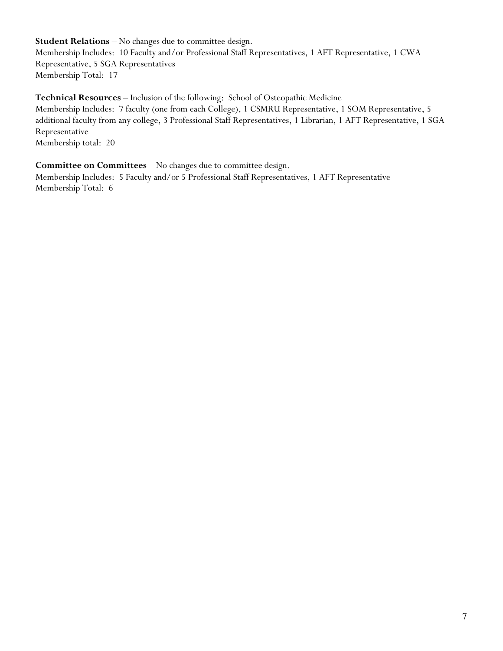**Student Relations** – No changes due to committee design. Membership Includes: 10 Faculty and/or Professional Staff Representatives, 1 AFT Representative, 1 CWA Representative, 5 SGA Representatives Membership Total: 17

**Technical Resources** – Inclusion of the following: School of Osteopathic Medicine Membership Includes: 7 faculty (one from each College), 1 CSMRU Representative, 1 SOM Representative, 5 additional faculty from any college, 3 Professional Staff Representatives, 1 Librarian, 1 AFT Representative, 1 SGA Representative Membership total: 20

**Committee on Committees** – No changes due to committee design.

Membership Includes: 5 Faculty and/or 5 Professional Staff Representatives, 1 AFT Representative Membership Total: 6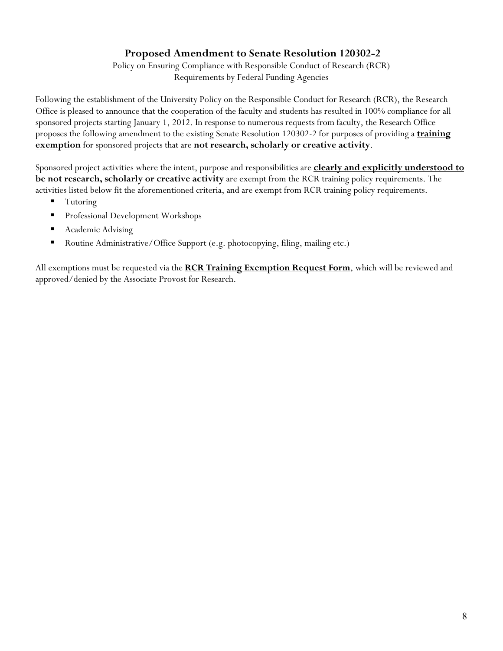# **Proposed Amendment to Senate Resolution 120302-2**

Policy on Ensuring Compliance with Responsible Conduct of Research (RCR) Requirements by Federal Funding Agencies

Following the establishment of the University Policy on the Responsible Conduct for Research (RCR), the Research Office is pleased to announce that the cooperation of the faculty and students has resulted in 100% compliance for all sponsored projects starting January 1, 2012. In response to numerous requests from faculty, the Research Office proposes the following amendment to the existing Senate Resolution 120302-2 for purposes of providing a **training exemption** for sponsored projects that are **not research, scholarly or creative activity**.

Sponsored project activities where the intent, purpose and responsibilities are **clearly and explicitly understood to be not research, scholarly or creative activity** are exempt from the RCR training policy requirements. The activities listed below fit the aforementioned criteria, and are exempt from RCR training policy requirements.

- Tutoring
- **Professional Development Workshops**
- Academic Advising
- Routine Administrative/Office Support (e.g. photocopying, filing, mailing etc.)

All exemptions must be requested via the **RCR Training Exemption Request Form**, which will be reviewed and approved/denied by the Associate Provost for Research.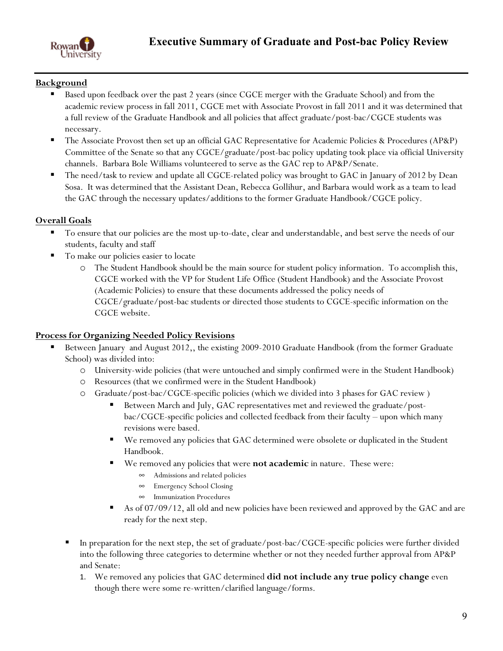

## **Background**

- Based upon feedback over the past 2 years (since CGCE merger with the Graduate School) and from the academic review process in fall 2011, CGCE met with Associate Provost in fall 2011 and it was determined that a full review of the Graduate Handbook and all policies that affect graduate/post-bac/CGCE students was necessary.
- The Associate Provost then set up an official GAC Representative for Academic Policies & Procedures (AP&P) Committee of the Senate so that any CGCE/graduate/post-bac policy updating took place via official University channels. Barbara Bole Williams volunteered to serve as the GAC rep to AP&P/Senate.
- The need/task to review and update all CGCE-related policy was brought to GAC in January of 2012 by Dean Sosa. It was determined that the Assistant Dean, Rebecca Gollihur, and Barbara would work as a team to lead the GAC through the necessary updates/additions to the former Graduate Handbook/CGCE policy.

## **Overall Goals**

- To ensure that our policies are the most up-to-date, clear and understandable, and best serve the needs of our students, faculty and staff
- To make our policies easier to locate
	- The Student Handbook should be the main source for student policy information. To accomplish this, CGCE worked with the VP for Student Life Office (Student Handbook) and the Associate Provost (Academic Policies) to ensure that these documents addressed the policy needs of CGCE/graduate/post-bac students or directed those students to CGCE-specific information on the CGCE website.

### **Process for Organizing Needed Policy Revisions**

- Between January and August 2012,, the existing 2009-2010 Graduate Handbook (from the former Graduate School) was divided into:
	- o University-wide policies (that were untouched and simply confirmed were in the Student Handbook)
	- o Resources (that we confirmed were in the Student Handbook)
	- o Graduate/post-bac/CGCE-specific policies (which we divided into 3 phases for GAC review )
		- Between March and July, GAC representatives met and reviewed the graduate/postbac/CGCE-specific policies and collected feedback from their faculty – upon which many revisions were based.
		- We removed any policies that GAC determined were obsolete or duplicated in the Student Handbook.
		- We removed any policies that were **not academic** in nature. These were:
			- $\infty$  Admissions and related policies
			- Emergency School Closing
			- $\infty$  Immunization Procedures
		- As of 07/09/12, all old and new policies have been reviewed and approved by the GAC and are ready for the next step.
	- In preparation for the next step, the set of graduate/post-bac/CGCE-specific policies were further divided into the following three categories to determine whether or not they needed further approval from AP&P and Senate:
		- 1. We removed any policies that GAC determined **did not include any true policy change** even though there were some re-written/clarified language/forms.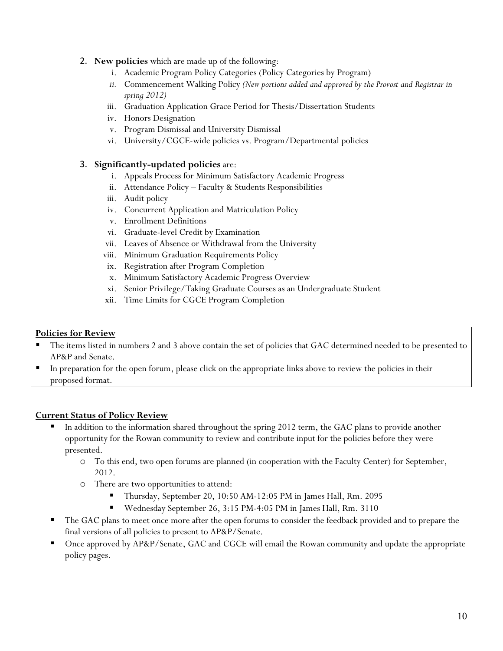## 2. **New policies** which are made up of the following:

- i. Academic Program Policy Categories (Policy Categories by Program)
- *ii.* Commencement Walking Policy *(New portions added and approved by the Provost and Registrar in spring 2012)*
- iii. Graduation Application Grace Period for Thesis/Dissertation Students
- iv. Honors Designation
- v. Program Dismissal and University Dismissal
- vi. University/CGCE-wide policies vs. Program/Departmental policies

### 3. **Significantly-updated policies** are:

- i. Appeals Process for Minimum Satisfactory Academic Progress
- ii. Attendance Policy Faculty & Students Responsibilities
- iii. Audit policy
- iv. Concurrent Application and Matriculation Policy
- v. Enrollment Definitions
- vi. Graduate-level Credit by Examination
- vii. Leaves of Absence or Withdrawal from the University
- viii. Minimum Graduation Requirements Policy
- ix. Registration after Program Completion
- x. Minimum Satisfactory Academic Progress Overview
- xi. Senior Privilege/Taking Graduate Courses as an Undergraduate Student
- xii. Time Limits for CGCE Program Completion

### **Policies for Review**

- The items listed in numbers 2 and 3 above contain the set of policies that GAC determined needed to be presented to AP&P and Senate.
- In preparation for the open forum, please click on the appropriate links above to review the policies in their proposed format.

## **Current Status of Policy Review**

- In addition to the information shared throughout the spring 2012 term, the GAC plans to provide another opportunity for the Rowan community to review and contribute input for the policies before they were presented.
	- o To this end, two open forums are planned (in cooperation with the Faculty Center) for September, 2012.
	- o There are two opportunities to attend:
		- Thursday, September 20, 10:50 AM-12:05 PM in James Hall, Rm. 2095
		- Wednesday September 26, 3:15 PM-4:05 PM in James Hall, Rm. 3110
- The GAC plans to meet once more after the open forums to consider the feedback provided and to prepare the final versions of all policies to present to AP&P/Senate.
- Once approved by AP&P/Senate, GAC and CGCE will email the Rowan community and update the appropriate policy pages.